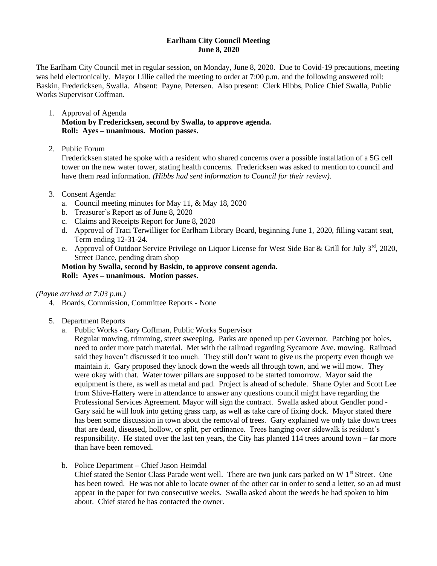## **Earlham City Council Meeting June 8, 2020**

The Earlham City Council met in regular session, on Monday, June 8, 2020. Due to Covid-19 precautions, meeting was held electronically. Mayor Lillie called the meeting to order at 7:00 p.m. and the following answered roll: Baskin, Fredericksen, Swalla. Absent: Payne, Petersen. Also present: Clerk Hibbs, Police Chief Swalla, Public Works Supervisor Coffman.

- 1. Approval of Agenda **Motion by Fredericksen, second by Swalla, to approve agenda. Roll: Ayes – unanimous. Motion passes.**
- 2. Public Forum

Fredericksen stated he spoke with a resident who shared concerns over a possible installation of a 5G cell tower on the new water tower, stating health concerns. Fredericksen was asked to mention to council and have them read information. *(Hibbs had sent information to Council for their review).*

- 3. Consent Agenda:
	- a. Council meeting minutes for May 11, & May 18, 2020
	- b. Treasurer's Report as of June 8, 2020
	- c. Claims and Receipts Report for June 8, 2020
	- d. Approval of Traci Terwilliger for Earlham Library Board, beginning June 1, 2020, filling vacant seat, Term ending 12-31-24.
	- e. Approval of Outdoor Service Privilege on Liquor License for West Side Bar & Grill for July 3<sup>rd</sup>, 2020, Street Dance, pending dram shop

# **Motion by Swalla, second by Baskin, to approve consent agenda. Roll: Ayes – unanimous. Motion passes.**

## *(Payne arrived at 7:03 p.m.)*

- 4. Boards, Commission, Committee Reports None
- 5. Department Reports
	- a. Public Works Gary Coffman, Public Works Supervisor

Regular mowing, trimming, street sweeping. Parks are opened up per Governor. Patching pot holes, need to order more patch material. Met with the railroad regarding Sycamore Ave. mowing. Railroad said they haven't discussed it too much. They still don't want to give us the property even though we maintain it. Gary proposed they knock down the weeds all through town, and we will mow. They were okay with that. Water tower pillars are supposed to be started tomorrow. Mayor said the equipment is there, as well as metal and pad. Project is ahead of schedule. Shane Oyler and Scott Lee from Shive-Hattery were in attendance to answer any questions council might have regarding the Professional Services Agreement. Mayor will sign the contract. Swalla asked about Gendler pond - Gary said he will look into getting grass carp, as well as take care of fixing dock. Mayor stated there has been some discussion in town about the removal of trees. Gary explained we only take down trees that are dead, diseased, hollow, or split, per ordinance. Trees hanging over sidewalk is resident's responsibility. He stated over the last ten years, the City has planted 114 trees around town – far more than have been removed.

b. Police Department – Chief Jason Heimdal

Chief stated the Senior Class Parade went well. There are two junk cars parked on W  $1<sup>st</sup>$  Street. One has been towed. He was not able to locate owner of the other car in order to send a letter, so an ad must appear in the paper for two consecutive weeks. Swalla asked about the weeds he had spoken to him about. Chief stated he has contacted the owner.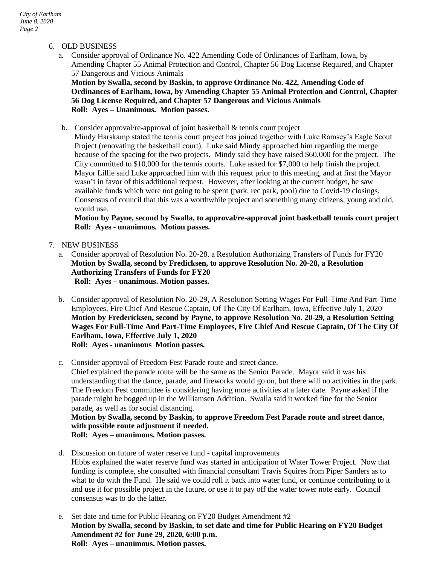# 6. OLD BUSINESS

a. Consider approval of Ordinance No. 422 Amending Code of Ordinances of Earlham, Iowa, by Amending Chapter 55 Animal Protection and Control, Chapter 56 Dog License Required, and Chapter 57 Dangerous and Vicious Animals

**Motion by Swalla, second by Baskin, to approve Ordinance No. 422, Amending Code of Ordinances of Earlham, Iowa, by Amending Chapter 55 Animal Protection and Control, Chapter 56 Dog License Required, and Chapter 57 Dangerous and Vicious Animals Roll: Ayes – Unanimous. Motion passes.**

b. Consider approval/re-approval of joint basketball & tennis court project

Mindy Harskamp stated the tennis court project has joined together with Luke Ramsey's Eagle Scout Project (renovating the basketball court). Luke said Mindy approached him regarding the merge because of the spacing for the two projects. Mindy said they have raised \$60,000 for the project. The City committed to \$10,000 for the tennis courts. Luke asked for \$7,000 to help finish the project. Mayor Lillie said Luke approached him with this request prior to this meeting, and at first the Mayor wasn't in favor of this additional request. However, after looking at the current budget, he saw available funds which were not going to be spent (park, rec park, pool) due to Covid-19 closings. Consensus of council that this was a worthwhile project and something many citizens, young and old, would use.

**Motion by Payne, second by Swalla, to approval/re-approval joint basketball tennis court project Roll: Ayes - unanimous. Motion passes.**

## 7. NEW BUSINESS

- a. Consider approval of Resolution No. 20-28, a Resolution Authorizing Transfers of Funds for FY20 **Motion by Swalla, second by Fredicksen, to approve Resolution No. 20-28, a Resolution Authorizing Transfers of Funds for FY20 Roll: Ayes – unanimous. Motion passes.**
- b. Consider approval of Resolution No. 20-29, A Resolution Setting Wages For Full-Time And Part-Time Employees, Fire Chief And Rescue Captain, Of The City Of Earlham, Iowa, Effective July 1, 2020 **Motion by Fredericksen, second by Payne, to approve Resolution No. 20-29, a Resolution Setting Wages For Full-Time And Part-Time Employees, Fire Chief And Rescue Captain, Of The City Of Earlham, Iowa, Effective July 1, 2020 Roll: Ayes - unanimous Motion passes.**
- c. Consider approval of Freedom Fest Parade route and street dance. Chief explained the parade route will be the same as the Senior Parade. Mayor said it was his understanding that the dance, parade, and fireworks would go on, but there will no activities in the park. The Freedom Fest committee is considering having more activities at a later date. Payne asked if the parade might be bogged up in the Williamsen Addition. Swalla said it worked fine for the Senior parade, as well as for social distancing. **Motion by Swalla, second by Baskin, to approve Freedom Fest Parade route and street dance,**

**with possible route adjustment if needed. Roll: Ayes – unanimous. Motion passes.**

- d. Discussion on future of water reserve fund capital improvements Hibbs explained the water reserve fund was started in anticipation of Water Tower Project. Now that funding is complete, she consulted with financial consultant Travis Squires from Piper Sanders as to what to do with the Fund. He said we could roll it back into water fund, or continue contributing to it and use it for possible project in the future, or use it to pay off the water tower note early. Council consensus was to do the latter.
- e. Set date and time for Public Hearing on FY20 Budget Amendment #2 **Motion by Swalla, second by Baskin, to set date and time for Public Hearing on FY20 Budget Amendment #2 for June 29, 2020, 6:00 p.m. Roll: Ayes – unanimous. Motion passes.**